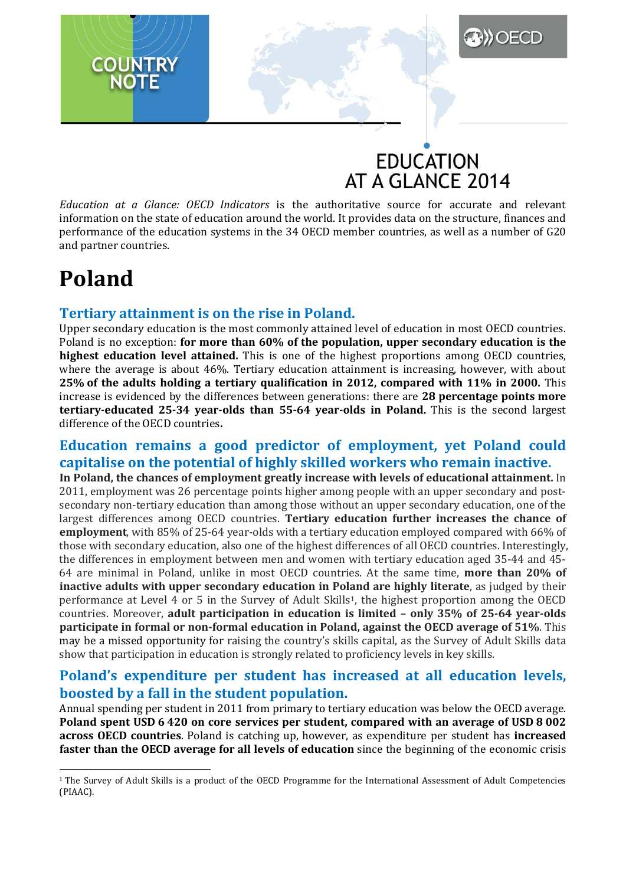## **EDUCATION** AT A GLANCE 2014

**DECD** 

*Education at a Glance: OECD Indicators* is the authoritative source for accurate and relevant information on the state of education around the world. It provides data on the structure, finances and performance of the education systems in the 34 OECD member countries, as well as a number of G20 and partner countries.

## **Poland**

**COUNTRY** 

### **Tertiary attainment is on the rise in Poland.**

Upper secondary education is the most commonly attained level of education in most OECD countries. Poland is no exception: **for more than 60% of the population, upper secondary education is the highest education level attained.** This is one of the highest proportions among OECD countries, where the average is about 46%. Tertiary education attainment is increasing, however, with about **25% of the adults holding a tertiary qualification in 2012, compared with 11% in 2000.** This increase is evidenced by the differences between generations: there are **28 percentage points more tertiary-educated 25-34 year-olds than 55-64 year-olds in Poland.** This is the second largest difference of the OECD countries**.**

## **Education remains a good predictor of employment, yet Poland could capitalise on the potential of highly skilled workers who remain inactive.**

**In Poland, the chances of employment greatly increase with levels of educational attainment.** In 2011, employment was 26 percentage points higher among people with an upper secondary and postsecondary non-tertiary education than among those without an upper secondary education, one of the largest differences among OECD countries. **Tertiary education further increases the chance of employment**, with 85% of 25-64 year-olds with a tertiary education employed compared with 66% of those with secondary education, also one of the highest differences of all OECD countries. Interestingly, the differences in employment between men and women with tertiary education aged 35-44 and 45- 64 are minimal in Poland, unlike in most OECD countries. At the same time, **more than 20% of inactive adults with upper secondary education in Poland are highly literate**, as judged by their performance at Level 4 or 5 in the Survey of Adult Skills[1,](#page-0-0) the highest proportion among the OECD countries. Moreover, **adult participation in education is limited – only 35% of 25-64 year-olds participate in formal or non-formal education in Poland, against the OECD average of 51%**. This may be a missed opportunity for raising the country's skills capital, as the Survey of Adult Skills data show that participation in education is strongly related to proficiency levels in key skills.

### **Poland's expenditure per student has increased at all education levels, boosted by a fall in the student population.**

Annual spending per student in 2011 from primary to tertiary education was below the OECD average. **Poland spent USD 6 420 on core services per student, compared with an average of USD 8 002 across OECD countries**. Poland is catching up, however, as expenditure per student has **increased faster than the OECD average for all levels of education** since the beginning of the economic crisis

<span id="page-0-0"></span><sup>1</sup> The Survey of Adult Skills is a product of the OECD Programme for the International Assessment of Adult Competencies (PIAAC). <u>.</u>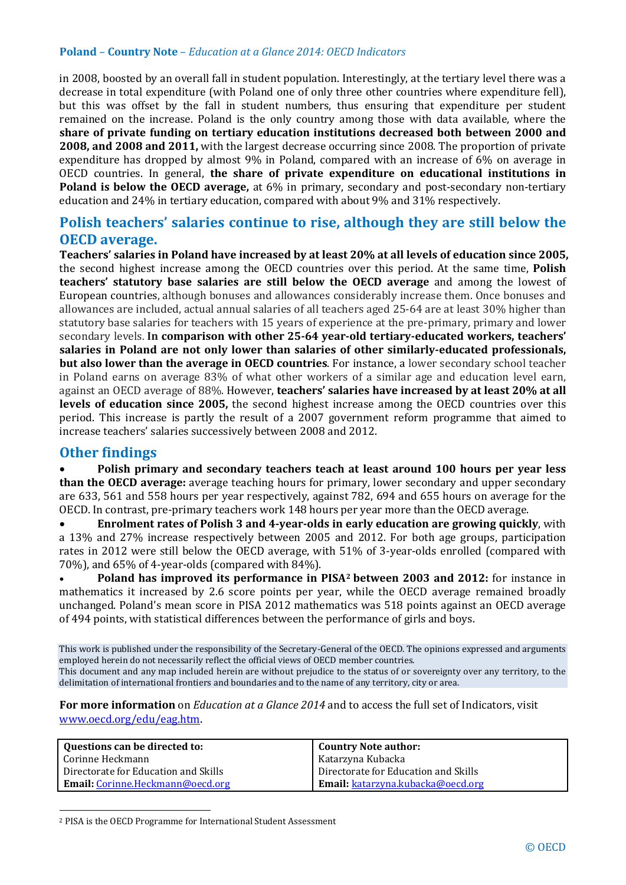#### **Poland** – **Country Note** – *Education at a Glance 2014: OECD Indicators*

in 2008, boosted by an overall fall in student population. Interestingly, at the tertiary level there was a decrease in total expenditure (with Poland one of only three other countries where expenditure fell), but this was offset by the fall in student numbers, thus ensuring that expenditure per student remained on the increase. Poland is the only country among those with data available, where the **share of private funding on tertiary education institutions decreased both between 2000 and 2008, and 2008 and 2011,** with the largest decrease occurring since 2008. The proportion of private expenditure has dropped by almost 9% in Poland, compared with an increase of 6% on average in OECD countries. In general, **the share of private expenditure on educational institutions in Poland is below the OECD average,** at 6% in primary, secondary and post-secondary non-tertiary education and 24% in tertiary education, compared with about 9% and 31% respectively.

### **Polish teachers' salaries continue to rise, although they are still below the OECD average.**

**Teachers' salaries in Poland have increased by at least 20% at all levels of education since 2005,**  the second highest increase among the OECD countries over this period. At the same time, **Polish teachers' statutory base salaries are still below the OECD average** and among the lowest of European countries, although bonuses and allowances considerably increase them. Once bonuses and allowances are included, actual annual salaries of all teachers aged 25-64 are at least 30% higher than statutory base salaries for teachers with 15 years of experience at the pre-primary, primary and lower secondary levels. **In comparison with other 25-64 year-old tertiary-educated workers, teachers' salaries in Poland are not only lower than salaries of other similarly-educated professionals, but also lower than the average in OECD countries**. For instance, a lower secondary school teacher in Poland earns on average 83% of what other workers of a similar age and education level earn, against an OECD average of 88%. However, **teachers' salaries have increased by at least 20% at all levels of education since 2005,** the second highest increase among the OECD countries over this period. This increase is partly the result of a 2007 government reform programme that aimed to increase teachers' salaries successively between 2008 and 2012.

#### **Other findings**

-

• **Polish primary and secondary teachers teach at least around 100 hours per year less than the OECD average:** average teaching hours for primary, lower secondary and upper secondary are 633, 561 and 558 hours per year respectively, against 782, 694 and 655 hours on average for the OECD. In contrast, pre-primary teachers work 148 hours per year more than the OECD average.

• **Enrolment rates of Polish 3 and 4-year-olds in early education are growing quickly**, with a 13% and 27% increase respectively between 2005 and 2012. For both age groups, participation rates in 2012 were still below the OECD average, with 51% of 3-year-olds enrolled (compared with 70%), and 65% of 4-year-olds (compared with 84%).

• **Poland has improved its performance in PISA[2](#page-1-0) between 2003 and 2012:** for instance in mathematics it increased by 2.6 score points per year, while the OECD average remained broadly unchanged. Poland's mean score in PISA 2012 mathematics was 518 points against an OECD average of 494 points, with statistical differences between the performance of girls and boys.

This work is published under the responsibility of the Secretary-General of the OECD. The opinions expressed and arguments employed herein do not necessarily reflect the official views of OECD member countries. This document and any map included herein are without prejudice to the status of or sovereignty over any territory, to the delimitation of international frontiers and boundaries and to the name of any territory, city or area.

**For more information** on *Education at a Glance 2014* and to access the full set of Indicators, visit [www.oecd.org/edu/eag.htm.](http://www.oecd.org/edu/eag.htm)

| Questions can be directed to:            | <b>Country Note author:</b>          |
|------------------------------------------|--------------------------------------|
| Corinne Heckmann                         | Katarzyna Kubacka                    |
| Directorate for Education and Skills     | Directorate for Education and Skills |
| <b>Email:</b> Corinne. Heckmann@oecd.org | Email: katarzyna.kubacka@oecd.org    |

<span id="page-1-0"></span><sup>2</sup> PISA is the OECD Programme for International Student Assessment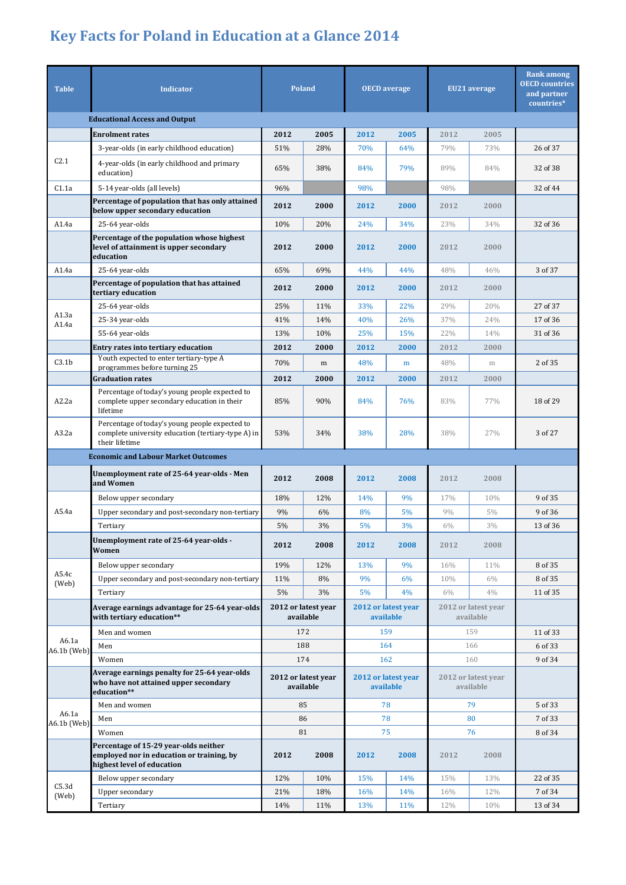# **Key Facts for Poland in Education at a Glance 2014**

| <b>Table</b>                         | <b>Indicator</b>                                                                                                       | <b>Poland</b>                    |      | <b>OECD</b> average              |      | EU21 average                     |       | <b>Rank among</b><br><b>OECD</b> countries<br>and partner<br>countries* |  |
|--------------------------------------|------------------------------------------------------------------------------------------------------------------------|----------------------------------|------|----------------------------------|------|----------------------------------|-------|-------------------------------------------------------------------------|--|
| <b>Educational Access and Output</b> |                                                                                                                        |                                  |      |                                  |      |                                  |       |                                                                         |  |
|                                      | <b>Enrolment rates</b>                                                                                                 | 2012                             | 2005 | 2012                             | 2005 | 2012                             | 2005  |                                                                         |  |
| C <sub>2.1</sub>                     | 3-year-olds (in early childhood education)                                                                             | 51%                              | 28%  | 70%                              | 64%  | 79%                              | 73%   | 26 of 37                                                                |  |
|                                      | 4-year-olds (in early childhood and primary<br>education)                                                              | 65%                              | 38%  | 84%                              | 79%  | 89%                              | 84%   | 32 of 38                                                                |  |
| C1.1a                                | 5-14 year-olds (all levels)                                                                                            | 96%                              |      | 98%                              |      | 98%                              |       | 32 of 44                                                                |  |
|                                      | Percentage of population that has only attained<br>below upper secondary education                                     | 2012                             | 2000 | 2012                             | 2000 | 2012                             | 2000  |                                                                         |  |
| A1.4a                                | 25-64 year-olds                                                                                                        | 10%                              | 20%  | 24%                              | 34%  | 23%                              | 34%   | 32 of 36                                                                |  |
|                                      | Percentage of the population whose highest<br>level of attainment is upper secondary<br>education                      | 2012                             | 2000 | 2012                             | 2000 | 2012                             | 2000  |                                                                         |  |
| A1.4a                                | 25-64 year-olds                                                                                                        | 65%                              | 69%  | 44%                              | 44%  | 48%                              | 46%   | 3 of 37                                                                 |  |
|                                      | Percentage of population that has attained<br>tertiary education                                                       | 2012                             | 2000 | 2012                             | 2000 | 2012                             | 2000  |                                                                         |  |
| A1.3a                                | 25-64 year-olds                                                                                                        | 25%                              | 11%  | 33%                              | 22%  | 29%                              | 20%   | 27 of 37                                                                |  |
| A1.4a                                | 25-34 year-olds                                                                                                        | 41%                              | 14%  | 40%                              | 26%  | 37%                              | 24%   | 17 of 36                                                                |  |
|                                      | 55-64 year-olds                                                                                                        | 13%                              | 10%  | 25%                              | 15%  | 22%                              | 14%   | 31 of 36                                                                |  |
|                                      | Entry rates into tertiary education                                                                                    | 2012                             | 2000 | 2012                             | 2000 | 2012                             | 2000  |                                                                         |  |
| C3.1 <sub>b</sub>                    | Youth expected to enter tertiary-type A<br>programmes before turning 25                                                | 70%                              | m    | 48%                              | m    | 48%                              | m     | 2 of 35                                                                 |  |
|                                      | <b>Graduation rates</b>                                                                                                | 2012                             | 2000 | 2012                             | 2000 | 2012                             | 2000  |                                                                         |  |
| A2.2a                                | Percentage of today's young people expected to<br>complete upper secondary education in their<br>lifetime              | 85%                              | 90%  | 84%                              | 76%  | 83%                              | 77%   | 18 of 29                                                                |  |
| A3.2a                                | Percentage of today's young people expected to<br>complete university education (tertiary-type A) in<br>their lifetime | 53%                              | 34%  | 38%                              | 28%  | 38%                              | 27%   | 3 of 27                                                                 |  |
|                                      | <b>Economic and Labour Market Outcomes</b>                                                                             |                                  |      |                                  |      |                                  |       |                                                                         |  |
|                                      | Unemployment rate of 25-64 year-olds - Men<br>and Women                                                                | 2012                             | 2008 | 2012                             | 2008 | 2012                             | 2008  |                                                                         |  |
|                                      | Below upper secondary                                                                                                  | 18%                              | 12%  | 14%                              | 9%   | 17%                              | 10%   | 9 of 35                                                                 |  |
| A5.4a                                | Upper secondary and post-secondary non-tertiary                                                                        | 9%                               | 6%   | 8%                               | 5%   | 9%                               | $5\%$ | 9 of 36                                                                 |  |
|                                      | Tertiary                                                                                                               | $5\%$                            | 3%   | 5%                               | 3%   | 6%                               | 3%    | 13 of 36                                                                |  |
|                                      | Unemployment rate of 25-64 year-olds -<br>Women                                                                        | 2012                             | 2008 | 2012                             | 2008 | 2012                             | 2008  |                                                                         |  |
|                                      | Below upper secondary                                                                                                  | 19%                              | 12%  | 13%                              | 9%   | 16%                              | 11%   | 8 of 35                                                                 |  |
| A5.4c<br>(Web)                       | Upper secondary and post-secondary non-tertiary                                                                        | 11%                              | 8%   | 9%                               | 6%   | 10%                              | $6\%$ | 8 of 35                                                                 |  |
|                                      | Tertiary                                                                                                               | 5%                               | 3%   | 5%                               | 4%   | $6\%$                            | 4%    | 11 of 35                                                                |  |
|                                      | Average earnings advantage for 25-64 year-olds<br>with tertiary education**                                            | 2012 or latest year<br>available |      | 2012 or latest year<br>available |      | 2012 or latest year<br>available |       |                                                                         |  |
|                                      | Men and women                                                                                                          | 172                              |      | 159                              |      | 159                              |       | 11 of 33                                                                |  |
| A6.1a<br>A6.1b (Web)                 | Men                                                                                                                    | 188                              |      | 164                              |      | 166                              |       | 6 of 33                                                                 |  |
|                                      | Women                                                                                                                  | 174                              |      | 162                              |      | 160                              |       | 9 of 34                                                                 |  |
|                                      | Average earnings penalty for 25-64 year-olds<br>who have not attained upper secondary<br>education**                   | 2012 or latest year<br>available |      | 2012 or latest year<br>available |      | 2012 or latest year<br>available |       |                                                                         |  |
|                                      | Men and women                                                                                                          | 85                               |      | 78                               |      | 79                               |       | 5 of 33                                                                 |  |
| A6.1a<br>A6.1b (Web)                 | Men                                                                                                                    | 86                               |      | 78                               |      | 80                               |       | 7 of 33                                                                 |  |
|                                      | Women                                                                                                                  | 81                               |      | 75                               |      | 76                               |       | 8 of 34                                                                 |  |
|                                      | Percentage of 15-29 year-olds neither<br>employed nor in education or training, by<br>highest level of education       | 2012                             | 2008 | 2012                             | 2008 | 2012                             | 2008  |                                                                         |  |
| C5.3d<br>(Web)                       | Below upper secondary                                                                                                  | 12%                              | 10%  | 15%                              | 14%  | 15%                              | 13%   | 22 of 35                                                                |  |
|                                      | Upper secondary                                                                                                        | 21%                              | 18%  | 16%                              | 14%  | 16%                              | 12%   | 7 of 34                                                                 |  |
|                                      | Tertiary                                                                                                               | 14%                              | 11%  | 13%                              | 11%  | 12%                              | 10%   | 13 of 34                                                                |  |